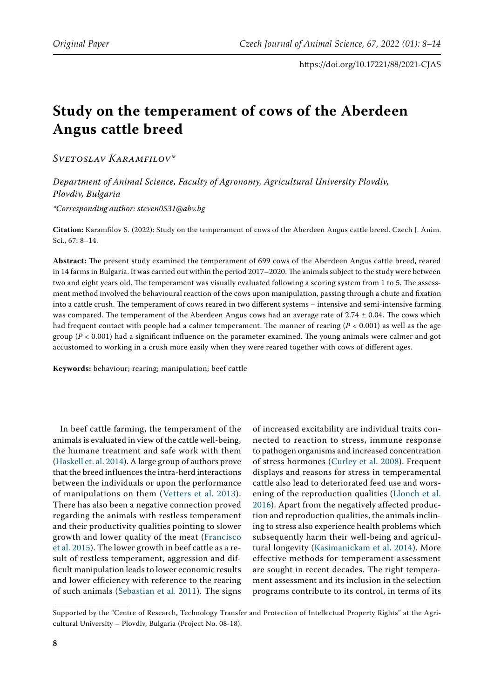# **Study on the temperament of cows of the Aberdeen Angus cattle breed**

*Svetoslav Karamfilov\**

*Department of Animal Science, Faculty of Agronomy, Agricultural University Plovdiv, Plovdiv, Bulgaria \*Corresponding author: steven0531@abv.bg*

**Citation:** Karamfilov S. (2022): Study on the temperament of cows of the Aberdeen Angus cattle breed. Czech J. Anim. Sci., 67: 8–14.

**Abstract:** The present study examined the temperament of 699 cows of the Aberdeen Angus cattle breed, reared in 14 farms in Bulgaria. It was carried out within the period 2017–2020. The animals subject to the study were between two and eight years old. The temperament was visually evaluated following a scoring system from 1 to 5. The assessment method involved the behavioural reaction of the cows upon manipulation, passing through a chute and fixation into a cattle crush. The temperament of cows reared in two different systems – intensive and semi-intensive farming was compared. The temperament of the Aberdeen Angus cows had an average rate of  $2.74 \pm 0.04$ . The cows which had frequent contact with people had a calmer temperament. The manner of rearing (*P* < 0.001) as well as the age group (*P* < 0.001) had a significant influence on the parameter examined. The young animals were calmer and got accustomed to working in a crush more easily when they were reared together with cows of different ages.

**Keywords:** behaviour; rearing; manipulation; beef cattle

In beef cattle farming, the temperament of the animals is evaluated in view of the cattle well-being, the humane treatment and safe work with them [\(Haskell et. al. 2014\).](#page-5-3) A large group of authors prove that the breed influences the intra-herd interactions between the individuals or upon the performance of manipulations on them ([Vetters et al. 2013\)](#page-6-0). There has also been a negative connection proved regarding the animals with restless temperament and their productivity qualities pointing to slower growth and lower quality of the meat ([Francisco](#page-5-4)  [et al. 2015\).](#page-5-4) The lower growth in beef cattle as a result of restless temperament, aggression and difficult manipulation leads to lower economic results and lower efficiency with reference to the rearing of such animals ([Sebastian et al. 2011\).](#page-6-1) The signs

of increased excitability are individual traits connected to reaction to stress, immune response to pathogen organisms and increased concentration of stress hormones [\(Curley et al. 2008\).](#page-5-0) Frequent displays and reasons for stress in temperamental cattle also lead to deteriorated feed use and worsening of the reproduction qualities ([Llonch et al.](#page-5-1) [2016\)](#page-5-1). Apart from the negatively affected production and reproduction qualities, the animals inclining to stress also experience health problems which subsequently harm their well-being and agricultural longevity ([Kasimanickam et al. 2014\)](#page-5-2). More effective methods for temperament assessment are sought in recent decades. The right temperament assessment and its inclusion in the selection programs contribute to its control, in terms of its

Supported by the "Centre of Research, Technology Transfer and Protection of Intellectual Property Rights" at the Agricultural University – Plovdiv, Bulgaria (Project No. 08-18).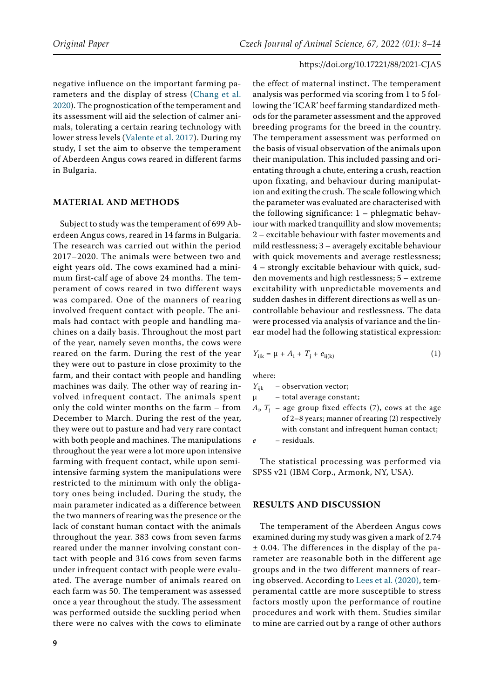negative influence on the important farming parameters and the display of stress ([Chang et al.](#page-5-5)  [2020\).](#page-5-5) The prognostication of the temperament and its assessment will aid the selection of calmer animals, tolerating a certain rearing technology with lower stress levels ([Valente et al. 2017\)](#page-6-2). During my study, I set the aim to observe the temperament of Aberdeen Angus cows reared in different farms in Bulgaria.

## **Material and Methods**

Subject to study was the temperament of 699 Aberdeen Angus cows, reared in 14 farms in Bulgaria. The research was carried out within the period 2017–2020. The animals were between two and eight years old. The cows examined had a minimum first-calf age of above 24 months. The temperament of cows reared in two different ways was compared. One of the manners of rearing involved frequent contact with people. The animals had contact with people and handling machines on a daily basis. Throughout the most part of the year, namely seven months, the cows were reared on the farm. During the rest of the year they were out to pasture in close proximity to the farm, and their contact with people and handling machines was daily. The other way of rearing involved infrequent contact. The animals spent only the cold winter months on the farm – from December to March. During the rest of the year, they were out to pasture and had very rare contact with both people and machines. The manipulations throughout the year were a lot more upon intensive farming with frequent contact, while upon semiintensive farming system the manipulations were restricted to the minimum with only the obligatory ones being included. During the study, the main parameter indicated as a difference between the two manners of rearing was the presence or the lack of constant human contact with the animals throughout the year. 383 cows from seven farms reared under the manner involving constant contact with people and 316 cows from seven farms under infrequent contact with people were evaluated. The average number of animals reared on each farm was 50. The temperament was assessed once a year throughout the study. The assessment was performed outside the suckling period when there were no calves with the cows to eliminate

the effect of maternal instinct. The temperament analysis was performed via scoring from 1 to 5 following the 'ICAR' beef farming standardized methods for the parameter assessment and the approved breeding programs for the breed in the country. The temperament assessment was performed on the basis of visual observation of the animals upon their manipulation. This included passing and orientating through a chute, entering a crush, reaction upon fixating, and behaviour during manipulation and exiting the crush. The scale following which the parameter was evaluated are characterised with the following significance: 1 – phlegmatic behaviour with marked tranquillity and slow movements; 2 – excitable behaviour with faster movements and mild restlessness; 3 – averagely excitable behaviour with quick movements and average restlessness; 4 – strongly excitable behaviour with quick, sudden movements and high restlessness; 5 – extreme excitability with unpredictable movements and sudden dashes in different directions as well as uncontrollable behaviour and restlessness. The data were processed via analysis of variance and the linear model had the following statistical expression:

$$
Y_{ijk} = \mu + A_i + T_j + e_{ij(k)}
$$
 (1)

where:

 $Y_{ijk}$  – observation vector; μ – total average constant;

 $A_i$ ,  $T_i$  – age group fixed effects (7), cows at the age of 2–8 years; manner of rearing (2) respectively with constant and infrequent human contact; *e* – residuals.

The statistical processing was performed via SPSS v21 (IBM Corp., Armonk, NY, USA).

# **Results and Discussion**

The temperament of the Aberdeen Angus cows examined during my study was given a mark of 2.74 ± 0.04. The differences in the display of the parameter are reasonable both in the different age groups and in the two different manners of rearing observed. According to [Lees et al. \(2020\)](#page-5-6), temperamental cattle are more susceptible to stress factors mostly upon the performance of routine procedures and work with them. Studies similar to mine are carried out by a range of other authors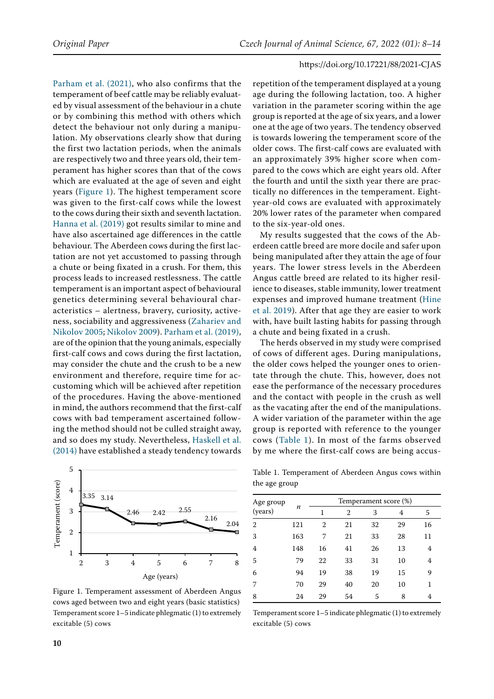[Parham et al. \(2021\),](#page-6-3) who also confirms that the temperament of beef cattle may be reliably evaluated by visual assessment of the behaviour in a chute or by combining this method with others which detect the behaviour not only during a manipulation. My observations clearly show that during the first two lactation periods, when the animals are respectively two and three years old, their temperament has higher scores than that of the cows which are evaluated at the age of seven and eight years ([Figure 1\)](#page-2-0). The highest temperament score was given to the first-calf cows while the lowest to the cows during their sixth and seventh lactation. [Hanna et al. \(2019\)](#page-5-8) got results similar to mine and have also ascertained age differences in the cattle behaviour. The Aberdeen cows during the first lactation are not yet accustomed to passing through a chute or being fixated in a crush. For them, this process leads to increased restlessness. The cattle temperament is an important aspect of behavioural genetics determining several behavioural characteristics – alertness, bravery, curiosity, activeness, sociability and aggressiveness [\(Zahariev and](#page-6-4)  [Nikolov 2005](#page-6-4); [Nikolov 2009](#page-5-9)). [Parham et al. \(2019\)](#page-6-5), are of the opinion that the young animals, especially first-calf cows and cows during the first lactation, may consider the chute and the crush to be a new environment and therefore, require time for accustoming which will be achieved after repetition of the procedures. Having the above-mentioned in mind, the authors recommend that the first-calf cows with bad temperament ascertained following the method should not be culled straight away, and so does my study. Nevertheless, [Haskell et al.](#page-5-3)  [\(2014\)](#page-5-3) have established a steady tendency towards

<span id="page-2-0"></span>

Figure 1. Temperament assessment of Aberdeen Angus cows aged between two and eight years (basic statistics) Temperament score 1–5 indicate phlegmatic (1) to extremely excitable (5) cows

repetition of the temperament displayed at a young age during the following lactation, too. A higher variation in the parameter scoring within the age group is reported at the age of six years, and a lower one at the age of two years. The tendency observed is towards lowering the temperament score of the older cows. The first-calf cows are evaluated with an approximately 39% higher score when compared to the cows which are eight years old. After the fourth and until the sixth year there are practically no differences in the temperament. Eightyear-old cows are evaluated with approximately 20% lower rates of the parameter when compared to the six-year-old ones.

My results suggested that the cows of the Aberdeen cattle breed are more docile and safer upon being manipulated after they attain the age of four years. The lower stress levels in the Aberdeen Angus cattle breed are related to its higher resilience to diseases, stable immunity, lower treatment expenses and improved humane treatment [\(Hine](#page-5-7) [et al. 2019\)](#page-5-7). After that age they are easier to work with, have built lasting habits for passing through a chute and being fixated in a crush.

The herds observed in my study were comprised of cows of different ages. During manipulations, the older cows helped the younger ones to orientate through the chute. This, however, does not ease the performance of the necessary procedures and the contact with people in the crush as well as the vacating after the end of the manipulations. A wider variation of the parameter within the age group is reported with reference to the younger cows (Table 1). In most of the farms observed by me where the first-calf cows are being accus-

Table 1. Temperament of Aberdeen Angus cows within the age group

| Age group      |                  | Temperament score (%) |    |    |    |    |
|----------------|------------------|-----------------------|----|----|----|----|
| (years)        | $\boldsymbol{n}$ | 1                     | 2  | 3  | 4  | 5  |
| $\overline{2}$ | 121              | $\mathbf{2}$          | 21 | 32 | 29 | 16 |
| 3              | 163              | 7                     | 21 | 33 | 28 | 11 |
| 4              | 148              | 16                    | 41 | 26 | 13 | 4  |
| 5              | 79               | 22                    | 33 | 31 | 10 | 4  |
| 6              | 94               | 19                    | 38 | 19 | 15 | 9  |
| 7              | 70               | 29                    | 40 | 20 | 10 | 1  |
| 8              | 24               | 29                    | 54 | 5  | 8  | 4  |

Temperament score 1–5 indicate phlegmatic (1) to extremely excitable (5) cows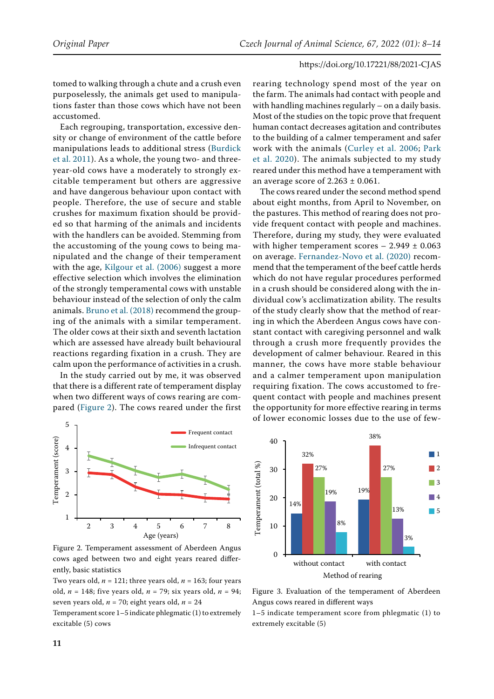tomed to walking through a chute and a crush even purposelessly, the animals get used to manipulations faster than those cows which have not been accustomed.

Each regrouping, transportation, excessive density or change of environment of the cattle before manipulations leads to additional stress ([Burdick](#page-5-10)  [et al. 2011\)](#page-5-10). As a whole, the young two- and threeyear-old cows have a moderately to strongly excitable temperament but others are aggressive and have dangerous behaviour upon contact with people. Therefore, the use of secure and stable crushes for maximum fixation should be provided so that harming of the animals and incidents with the handlers can be avoided. Stemming from the accustoming of the young cows to being manipulated and the change of their temperament with the age, [Kilgour et al. \(2006\)](#page-5-11) suggest a more effective selection which involves the elimination of the strongly temperamental cows with unstable behaviour instead of the selection of only the calm animals. [Bruno et al. \(2018\)](#page-5-12) recommend the grouping of the animals with a similar temperament. The older cows at their sixth and seventh lactation which are assessed have already built behavioural reactions regarding fixation in a crush. They are calm upon the performance of activities in a crush.

In the study carried out by me, it was observed that there is a different rate of temperament display when two different ways of cows rearing are compared ([Figure 2\)](#page-3-0). The cows reared under the first

<span id="page-3-0"></span>

Figure 2. Temperament assessment of Aberdeen Angus cows aged between two and eight years reared differently, basic statistics

Two years old,  $n = 121$ ; three years old,  $n = 163$ ; four years old, *n* = 148; five years old, *n* = 79; six years old, *n* = 94; seven years old,  $n = 70$ ; eight years old,  $n = 24$ 

Temperament score 1–5 indicate phlegmatic (1) to extremely excitable (5) cows

rearing technology spend most of the year on the farm. The animals had contact with people and with handling machines regularly – on a daily basis. Most of the studies on the topic prove that frequent human contact decreases agitation and contributes to the building of a calmer temperament and safer work with the animals ([Curley et al. 2006](#page-5-13); [Park](#page-6-6) [et al. 2020](#page-6-6)). The animals subjected to my study reared under this method have a temperament with an average score of  $2.263 \pm 0.061$ .

The cows reared under the second method spend about eight months, from April to November, on the pastures. This method of rearing does not provide frequent contact with people and machines. Therefore, during my study, they were evaluated with higher temperament scores  $-2.949 \pm 0.063$ on average. [Fernandez-Novo et al. \(2020\)](#page-5-14) recommend that the temperament of the beef cattle herds which do not have regular procedures performed in a crush should be considered along with the individual cow's acclimatization ability. The results of the study clearly show that the method of rearing in which the Aberdeen Angus cows have constant contact with caregiving personnel and walk through a crush more frequently provides the development of calmer behaviour. Reared in this manner, the cows have more stable behaviour and a calmer temperament upon manipulation requiring fixation. The cows accustomed to frequent contact with people and machines present the opportunity for more effective rearing in terms of lower economic losses due to the use of few-

<span id="page-3-1"></span>

Figure 3. Evaluation of the temperament of Aberdeen Angus cows reared in different ways

1–5 indicate temperament score from phlegmatic (1) to extremely excitable (5)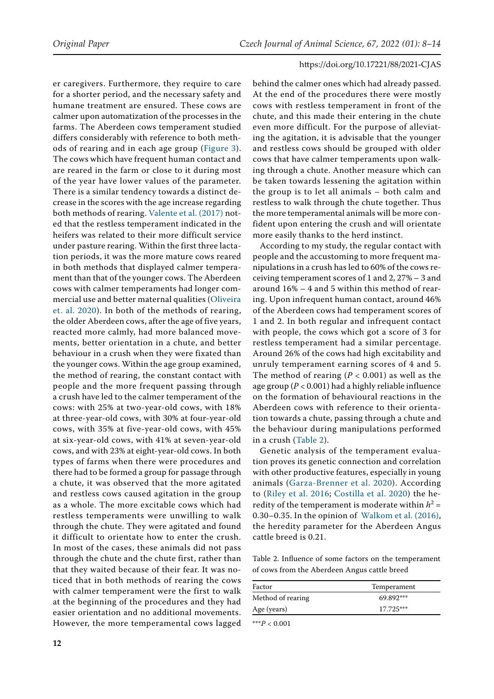er caregivers. Furthermore, they require to care for a shorter period, and the necessary safety and humane treatment are ensured. These cows are calmer upon automatization of the processes in the farms. The Aberdeen cows temperament studied differs considerably with reference to both methods of rearing and in each age group [\(Figure 3](#page-3-1)). The cows which have frequent human contact and are reared in the farm or close to it during most of the year have lower values of the parameter. There is a similar tendency towards a distinct decrease in the scores with the age increase regarding both methods of rearing. [Valente et al. \(2017\)](#page-6-2) noted that the restless temperament indicated in the heifers was related to their more difficult service under pasture rearing. Within the first three lactation periods, it was the more mature cows reared in both methods that displayed calmer temperament than that of the younger cows. The Aberdeen cows with calmer temperaments had longer commercial use and better maternal qualities ([Oliveira](#page-5-17)  [et. al. 2020\)](#page-5-17). In both of the methods of rearing, the older Aberdeen cows, after the age of five years, reacted more calmly, had more balanced movements, better orientation in a chute, and better behaviour in a crush when they were fixated than the younger cows. Within the age group examined, the method of rearing, the constant contact with people and the more frequent passing through a crush have led to the calmer temperament of the cows: with 25% at two-year-old cows, with 18% at three-year-old cows, with 30% at four-year-old cows, with 35% at five-year-old cows, with 45% at six-year-old cows, with 41% at seven-year-old cows, and with 23% at eight-year-old cows. In both types of farms when there were procedures and there had to be formed a group for passage through a chute, it was observed that the more agitated and restless cows caused agitation in the group as a whole. The more excitable cows which had restless temperaments were unwilling to walk through the chute. They were agitated and found it difficult to orientate how to enter the crush. In most of the cases, these animals did not pass through the chute and the chute first, rather than that they waited because of their fear. It was noticed that in both methods of rearing the cows with calmer temperament were the first to walk at the beginning of the procedures and they had easier orientation and no additional movements. However, the more temperamental cows lagged behind the calmer ones which had already passed. At the end of the procedures there were mostly cows with restless temperament in front of the chute, and this made their entering in the chute even more difficult. For the purpose of alleviating the agitation, it is advisable that the younger and restless cows should be grouped with older cows that have calmer temperaments upon walking through a chute. Another measure which can be taken towards lessening the agitation within the group is to let all animals – both calm and restless to walk through the chute together. Thus the more temperamental animals will be more confident upon entering the crush and will orientate more easily thanks to the herd instinct.

According to my study, the regular contact with people and the accustoming to more frequent manipulations in a crush has led to 60% of the cows receiving temperament scores of 1 and 2, 27% – 3 and around 16% – 4 and 5 within this method of rearing. Upon infrequent human contact, around 46% of the Aberdeen cows had temperament scores of 1 and 2. In both regular and infrequent contact with people, the cows which got a score of 3 for restless temperament had a similar percentage. Around 26% of the cows had high excitability and unruly temperament earning scores of 4 and 5. The method of rearing  $(P < 0.001)$  as well as the age group (*P* < 0.001) had a highly reliable influence on the formation of behavioural reactions in the Aberdeen cows with reference to their orientation towards a chute, passing through a chute and the behaviour during manipulations performed in a crush (Table 2).

Genetic analysis of the temperament evaluation proves its genetic connection and correlation with other productive features, especially in young animals ([Garza-Brenner et al. 2020\).](#page-5-15) According to ([Riley et al. 2016;](#page-6-7) [Costilla et al. 2020](#page-5-16)) the heredity of the temperament is moderate within  $h^2 =$ 0.30–0.35. In the opinion of  [Walkom et al. \(2016\)](#page-6-8), the heredity parameter for the Aberdeen Angus cattle breed is 0.21.

Table 2. Influence of some factors on the temperament of cows from the Aberdeen Angus cattle breed

| Factor            | Temperament |  |  |
|-------------------|-------------|--|--|
| Method of rearing | 69.892***   |  |  |
| Age (years)       | $17.725***$ |  |  |

\*\*\**P* < 0.001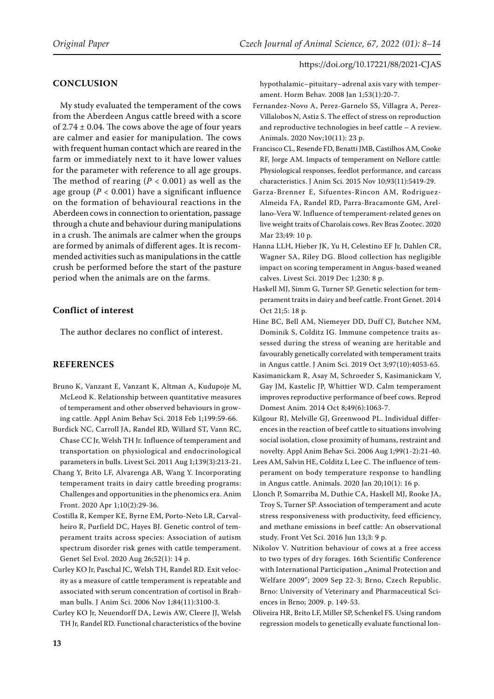# **Conclusion**

My study evaluated the temperament of the cows from the Aberdeen Angus cattle breed with a score of  $2.74 \pm 0.04$ . The cows above the age of four years are calmer and easier for manipulation. The cows with frequent human contact which are reared in the farm or immediately next to it have lower values for the parameter with reference to all age groups. The method of rearing  $(P < 0.001)$  as well as the age group ( $P < 0.001$ ) have a significant influence on the formation of behavioural reactions in the Aberdeen cows in connection to orientation, passage through a chute and behaviour during manipulations in a crush. The animals are calmer when the groups are formed by animals of different ages. It is recommended activities such as manipulations in the cattle crush be performed before the start of the pasture period when the animals are on the farms.

# **Conflict of interest**

The author declares no conflict of interest.

## **References**

- <span id="page-5-12"></span>Bruno K, Vanzant E, Vanzant K, Altman A, Kudupoje M, McLeod K. Relationship between quantitative measures of temperament and other observed behaviours in growing cattle. Appl Anim Behav Sci. 2018 Feb 1;199:59-66.
- <span id="page-5-10"></span>Burdick NC, Carroll JA, Randel RD, Willard ST, Vann RC, Chase CC Jr, Welsh TH Jr. Influence of temperament and transportation on physiological and endocrinological parameters in bulls. Livest Sci. 2011 Aug 1;139(3):213-21.
- <span id="page-5-5"></span>Chang Y, Brito LF, Alvarenga AB, Wang Y. Incorporating temperament traits in dairy cattle breeding programs: Challenges and opportunities in the phenomics era. Anim Front. 2020 Apr 1;10(2):29-36.
- <span id="page-5-16"></span>Costilla R, Kemper KE, Byrne EM, Porto-Neto LR, Carvalheiro R, Purfield DC, Hayes BJ. Genetic control of temperament traits across species: Association of autism spectrum disorder risk genes with cattle temperament. Genet Sel Evol. 2020 Aug 26;52(1): 14 p.
- <span id="page-5-13"></span>Curley KO Jr, Paschal JC, Welsh TH, Randel RD. Exit velocity as a measure of cattle temperament is repeatable and associated with serum concentration of cortisol in Brahman bulls. J Anim Sci. 2006 Nov 1;84(11):3100-3.
- <span id="page-5-0"></span>Curley KO Jr, Neuendorff DA, Lewis AW, Cleere JJ, Welsh TH Jr, Randel RD. Functional characteristics of the bovine

hypothalamic–pituitary–adrenal axis vary with temperament. Horm Behav. 2008 Jan 1;53(1):20-7.

- <span id="page-5-14"></span>Fernandez-Novo A, Perez-Garnelo SS, Villagra A, Perez-Villalobos N, Astiz S. The effect of stress on reproduction and reproductive technologies in beef cattle – A review. Animals. 2020 Nov;10(11): 23 p.
- <span id="page-5-4"></span>Francisco CL, Resende FD, Benatti JMB, Castilhos AM, Cooke RF, Jorge AM. Impacts of temperament on Nellore cattle: Physiological responses, feedlot performance, and carcass characteristics. J Anim Sci. 2015 Nov 10;93(11):5419-29.
- <span id="page-5-15"></span>Garza-Brenner E, Sifuentes-Rincon AM, Rodriguez-Almeida FA, Randel RD, Parra-Bracamonte GM, Arellano-Vera W. Influence of temperament-related genes on live weight traits of Charolais cows. Rev Bras Zootec. 2020 Mar 23;49: 10 p.
- <span id="page-5-8"></span>Hanna LLH, Hieber JK, Yu H, Celestino EF Jr, Dahlen CR, Wagner SA, Riley DG. Blood collection has negligible impact on scoring temperament in Angus-based weaned calves. Livest Sci. 2019 Dec 1;230: 8 p.
- <span id="page-5-3"></span>Haskell MJ, Simm G, Turner SP. Genetic selection for temperament traits in dairy and beef cattle. Front Genet. 2014 Oct 21;5: 18 p.
- <span id="page-5-7"></span>Hine BC, Bell AM, Niemeyer DD, Duff CJ, Butcher NM, Dominik S, Colditz IG. Immune competence traits assessed during the stress of weaning are heritable and favourably genetically correlated with temperament traits in Angus cattle. J Anim Sci. 2019 Oct 3;97(10):4053-65.
- <span id="page-5-2"></span>Kasimanickam R, Asay M, Schroeder S, Kasimanickam V, Gay JM, Kastelic JP, Whittier WD. Calm temperament improves reproductive performance of beef cows. Reprod Domest Anim. 2014 Oct 8;49(6):1063-7.
- <span id="page-5-11"></span>Kilgour RJ, Melville GJ, Greenwood PL. Individual differences in the reaction of beef cattle to situations involving social isolation, close proximity of humans, restraint and novelty. Appl Anim Behav Sci. 2006 Aug 1;99(1-2):21-40.
- <span id="page-5-6"></span>Lees AM, Salvin HE, Colditz I, Lee C. The influence of temperament on body temperature response to handling in Angus cattle. Animals. 2020 Jan 20;10(1): 16 p.
- <span id="page-5-1"></span>Llonch P, Somarriba M, Duthie CA, Haskell MJ, Rooke JA, Troy S, Turner SP. Association of temperament and acute stress responsiveness with productivity, feed efficiency, and methane emissions in beef cattle: An observational study. Front Vet Sci. 2016 Jun 13;3: 9 p.
- <span id="page-5-9"></span>Nikolov V. Nutrition behaviour of cows at a free access to two types of dry forages. 16th Scientific Conference with International Participation "Animal Protection and Welfare 2009"; 2009 Sep 22-3; Brno, Czech Republic. Brno: University of Veterinary and Pharmaceutical Sciences in Brno; 2009. p. 149-53.
- <span id="page-5-17"></span>Oliveira HR, Brito LF, Miller SP, Schenkel FS. Using random regression models to genetically evaluate functional lon-